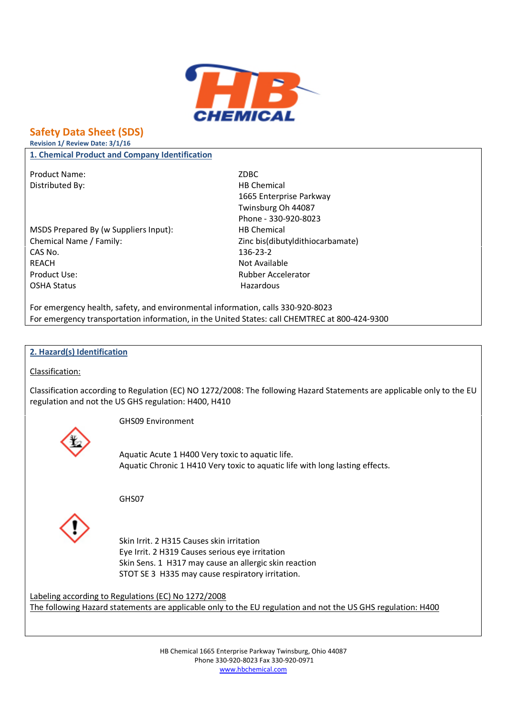

# **Safety Data Sheet (SDS)**

**Revision 1/ Review Date: 3/1/16**

**1. Chemical Product and Company Identification**

Product Name: ZDBC Distributed By: HB Chemical

MSDS Prepared By (w Suppliers Input): HB Chemical Chemical Name / Family:  $Zinc\,bis$  /  $Cch$  and  $Cch$   $Zinc\,bis$  /  $Cch$   $W$  and  $Dca$   $V$   $Cch$   $W$   $Cch$   $W$   $Cch$   $W$   $Cch$   $W$   $Cch$   $W$   $Cch$   $W$   $Cch$   $W$   $Cch$   $W$   $Cch$   $W$   $Cch$   $W$   $Cch$   $W$   $Cch$   $W$   $Cch$   $W$   $Cch$   $W$   $Cch$   $W$   $Cch$   $W$ CAS No. 236-23-2 REACH Not Available Product Use: Rubber Accelerator OSHA Status **Hazardous** 

1665 Enterprise Parkway Twinsburg Oh 44087 Phone - 330-920-8023

For emergency health, safety, and environmental information, calls 330-920-8023 For emergency transportation information, in the United States: call CHEMTREC at 800-424-9300

### **2. Hazard(s) Identification**

Classification:

Classification according to Regulation (EC) NO 1272/2008: The following Hazard Statements are applicable only to the EU regulation and not the US GHS regulation: H400, H410

GHS09 Environment

Aquatic Acute 1 H400 Very toxic to aquatic life. Aquatic Chronic 1 H410 Very toxic to aquatic life with long lasting effects.

GHS07



Skin Irrit. 2 H315 Causes skin irritation Eye Irrit. 2 H319 Causes serious eye irritation Skin Sens. 1 H317 may cause an allergic skin reaction STOT SE 3 H335 may cause respiratory irritation.

Labeling according to Regulations (EC) No 1272/2008 The following Hazard statements are applicable only to the EU regulation and not the US GHS regulation: H400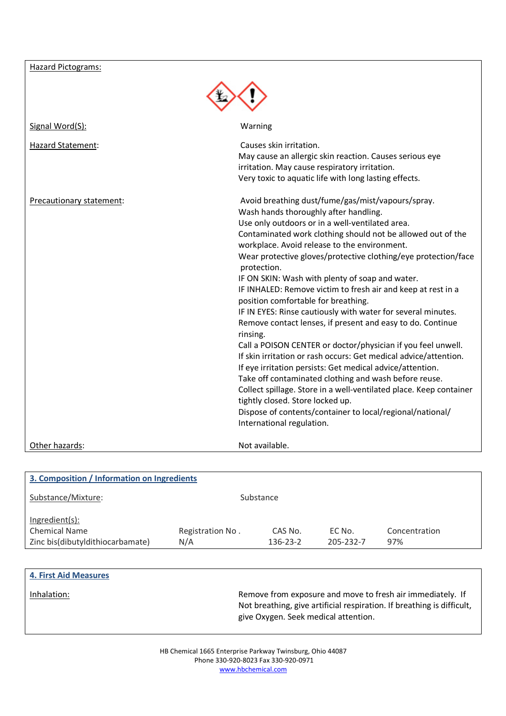| <b>Hazard Pictograms:</b> |                                                                                                                                                                                                                                                                                                                                                                                                                                                                                                                                                                                                                                                                                                                                                                                                                                                                                                                                                                                                                                                                                                                 |
|---------------------------|-----------------------------------------------------------------------------------------------------------------------------------------------------------------------------------------------------------------------------------------------------------------------------------------------------------------------------------------------------------------------------------------------------------------------------------------------------------------------------------------------------------------------------------------------------------------------------------------------------------------------------------------------------------------------------------------------------------------------------------------------------------------------------------------------------------------------------------------------------------------------------------------------------------------------------------------------------------------------------------------------------------------------------------------------------------------------------------------------------------------|
|                           |                                                                                                                                                                                                                                                                                                                                                                                                                                                                                                                                                                                                                                                                                                                                                                                                                                                                                                                                                                                                                                                                                                                 |
|                           |                                                                                                                                                                                                                                                                                                                                                                                                                                                                                                                                                                                                                                                                                                                                                                                                                                                                                                                                                                                                                                                                                                                 |
| Signal Word(S):           | Warning                                                                                                                                                                                                                                                                                                                                                                                                                                                                                                                                                                                                                                                                                                                                                                                                                                                                                                                                                                                                                                                                                                         |
| Hazard Statement:         | Causes skin irritation.<br>May cause an allergic skin reaction. Causes serious eye<br>irritation. May cause respiratory irritation.<br>Very toxic to aquatic life with long lasting effects.                                                                                                                                                                                                                                                                                                                                                                                                                                                                                                                                                                                                                                                                                                                                                                                                                                                                                                                    |
| Precautionary statement:  | Avoid breathing dust/fume/gas/mist/vapours/spray.<br>Wash hands thoroughly after handling.<br>Use only outdoors or in a well-ventilated area.<br>Contaminated work clothing should not be allowed out of the<br>workplace. Avoid release to the environment.<br>Wear protective gloves/protective clothing/eye protection/face<br>protection.<br>IF ON SKIN: Wash with plenty of soap and water.<br>IF INHALED: Remove victim to fresh air and keep at rest in a<br>position comfortable for breathing.<br>IF IN EYES: Rinse cautiously with water for several minutes.<br>Remove contact lenses, if present and easy to do. Continue<br>rinsing.<br>Call a POISON CENTER or doctor/physician if you feel unwell.<br>If skin irritation or rash occurs: Get medical advice/attention.<br>If eye irritation persists: Get medical advice/attention.<br>Take off contaminated clothing and wash before reuse.<br>Collect spillage. Store in a well-ventilated place. Keep container<br>tightly closed. Store locked up.<br>Dispose of contents/container to local/regional/national/<br>International regulation. |
| Other hazards:            | Not available.                                                                                                                                                                                                                                                                                                                                                                                                                                                                                                                                                                                                                                                                                                                                                                                                                                                                                                                                                                                                                                                                                                  |
|                           |                                                                                                                                                                                                                                                                                                                                                                                                                                                                                                                                                                                                                                                                                                                                                                                                                                                                                                                                                                                                                                                                                                                 |

| 3. Composition / Information on Ingredients |                  |           |           |               |
|---------------------------------------------|------------------|-----------|-----------|---------------|
| Substance/Mixture:                          |                  | Substance |           |               |
| Ingradient(s):                              |                  |           |           |               |
| <b>Chemical Name</b>                        | Registration No. | CAS No.   | EC No.    | Concentration |
| Zinc bis(dibutyldithiocarbamate)            | N/A              | 136-23-2  | 205-232-7 | 97%           |

| <b>4. First Aid Measures</b> |                                                                                                                                                                              |
|------------------------------|------------------------------------------------------------------------------------------------------------------------------------------------------------------------------|
| Inhalation:                  | Remove from exposure and move to fresh air immediately. If<br>Not breathing, give artificial respiration. If breathing is difficult,<br>give Oxygen. Seek medical attention. |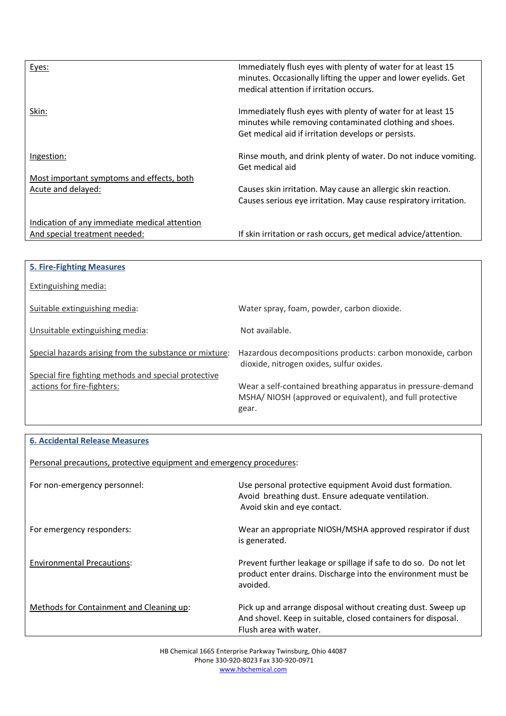| Eyes:                                         | Immediately flush eyes with plenty of water for at least 15<br>minutes. Occasionally lifting the upper and lower eyelids. Get<br>medical attention if irritation occurs.      |
|-----------------------------------------------|-------------------------------------------------------------------------------------------------------------------------------------------------------------------------------|
| Skin:                                         | Immediately flush eyes with plenty of water for at least 15<br>minutes while removing contaminated clothing and shoes.<br>Get medical aid if irritation develops or persists. |
| Ingestion:                                    | Rinse mouth, and drink plenty of water. Do not induce vomiting.<br>Get medical aid                                                                                            |
| Most important symptoms and effects, both     |                                                                                                                                                                               |
| Acute and delayed:                            | Causes skin irritation. May cause an allergic skin reaction.<br>Causes serious eye irritation. May cause respiratory irritation.                                              |
| Indication of any immediate medical attention |                                                                                                                                                                               |
| And special treatment needed:                 | If skin irritation or rash occurs, get medical advice/attention.                                                                                                              |

| <b>5. Fire-Fighting Measures</b>                       |                                                                                                                                   |
|--------------------------------------------------------|-----------------------------------------------------------------------------------------------------------------------------------|
| Extinguishing media:                                   |                                                                                                                                   |
| Suitable extinguishing media:                          | Water spray, foam, powder, carbon dioxide.                                                                                        |
| Unsuitable extinguishing media:                        | Not available.                                                                                                                    |
| Special hazards arising from the substance or mixture: | Hazardous decompositions products: carbon monoxide, carbon<br>dioxide, nitrogen oxides, sulfur oxides.                            |
| Special fire fighting methods and special protective   |                                                                                                                                   |
| actions for fire-fighters:                             | Wear a self-contained breathing apparatus in pressure-demand<br>MSHA/NIOSH (approved or equivalent), and full protective<br>gear. |

## **6. Accidental Release Measures**

Personal precautions, protective equipment and emergency procedures:

| For non-emergency personnel:             | Use personal protective equipment Avoid dust formation.<br>Avoid breathing dust. Ensure adequate ventilation.<br>Avoid skin and eye contact.            |
|------------------------------------------|---------------------------------------------------------------------------------------------------------------------------------------------------------|
| For emergency responders:                | Wear an appropriate NIOSH/MSHA approved respirator if dust<br>is generated.                                                                             |
| <b>Environmental Precautions:</b>        | Prevent further leakage or spillage if safe to do so. Do not let<br>product enter drains. Discharge into the environment must be<br>avoided.            |
| Methods for Containment and Cleaning up: | Pick up and arrange disposal without creating dust. Sweep up<br>And shovel. Keep in suitable, closed containers for disposal.<br>Flush area with water. |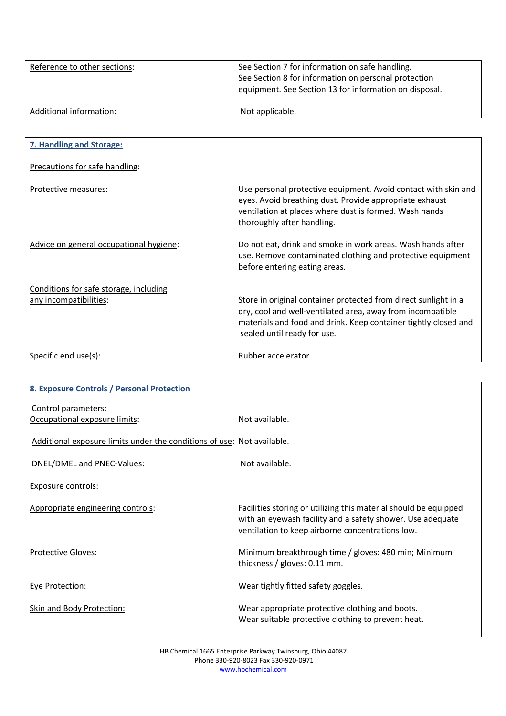| Reference to other sections: | See Section 7 for information on safe handling.<br>See Section 8 for information on personal protection<br>equipment. See Section 13 for information on disposal. |
|------------------------------|-------------------------------------------------------------------------------------------------------------------------------------------------------------------|
| Additional information:      | Not applicable.                                                                                                                                                   |

| 7. Handling and Storage:                |                                                                                                                                                                                                                                 |
|-----------------------------------------|---------------------------------------------------------------------------------------------------------------------------------------------------------------------------------------------------------------------------------|
| Precautions for safe handling:          |                                                                                                                                                                                                                                 |
| Protective measures:                    | Use personal protective equipment. Avoid contact with skin and<br>eyes. Avoid breathing dust. Provide appropriate exhaust<br>ventilation at places where dust is formed. Wash hands<br>thoroughly after handling.               |
| Advice on general occupational hygiene: | Do not eat, drink and smoke in work areas. Wash hands after<br>use. Remove contaminated clothing and protective equipment<br>before entering eating areas.                                                                      |
| Conditions for safe storage, including  |                                                                                                                                                                                                                                 |
| any incompatibilities:                  | Store in original container protected from direct sunlight in a<br>dry, cool and well-ventilated area, away from incompatible<br>materials and food and drink. Keep container tightly closed and<br>sealed until ready for use. |
| Specific end use(s):                    | Rubber accelerator.                                                                                                                                                                                                             |

| 8. Exposure Controls / Personal Protection                             |                                                                                                                                                                                    |
|------------------------------------------------------------------------|------------------------------------------------------------------------------------------------------------------------------------------------------------------------------------|
| Control parameters:                                                    |                                                                                                                                                                                    |
| Occupational exposure limits:                                          | Not available.                                                                                                                                                                     |
| Additional exposure limits under the conditions of use: Not available. |                                                                                                                                                                                    |
| DNEL/DMEL and PNEC-Values:                                             | Not available.                                                                                                                                                                     |
| <b>Exposure controls:</b>                                              |                                                                                                                                                                                    |
| Appropriate engineering controls:                                      | Facilities storing or utilizing this material should be equipped<br>with an eyewash facility and a safety shower. Use adequate<br>ventilation to keep airborne concentrations low. |
| <b>Protective Gloves:</b>                                              | Minimum breakthrough time / gloves: 480 min; Minimum<br>thickness / gloves: $0.11$ mm.                                                                                             |
| Eye Protection:                                                        | Wear tightly fitted safety goggles.                                                                                                                                                |
| <b>Skin and Body Protection:</b>                                       | Wear appropriate protective clothing and boots.<br>Wear suitable protective clothing to prevent heat.                                                                              |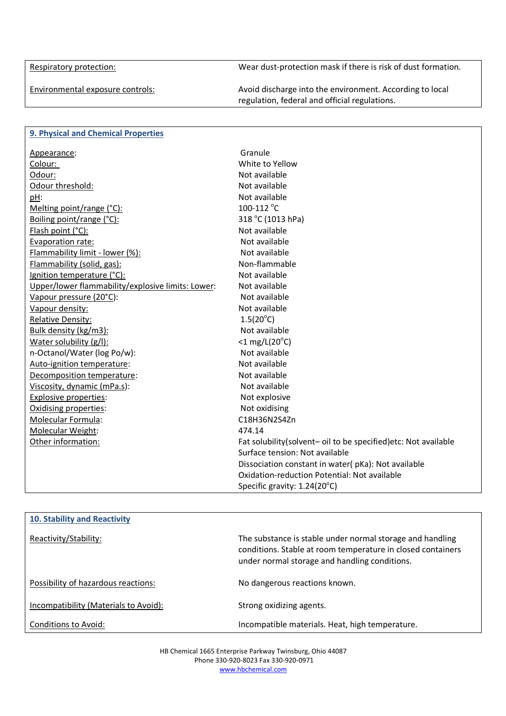Respiratory protection:

Wear dust-protection mask if there is risk of dust formation.

Environmental exposure controls:

Avoid discharge into the environment. According to local regulation, federal and official regulations.

| 9. Physical and Chemical Properties               |                                                                 |
|---------------------------------------------------|-----------------------------------------------------------------|
| Appearance:                                       | Granule                                                         |
| Colour:                                           | White to Yellow                                                 |
| Odour:                                            | Not available                                                   |
| Odour threshold:                                  | Not available                                                   |
| pH:                                               | Not available                                                   |
| Melting point/range (°C):                         | 100-112 °C                                                      |
| Boiling point/range (°C):                         | 318 °C (1013 hPa)                                               |
| Flash point (°C):                                 | Not available                                                   |
| Evaporation rate:                                 | Not available                                                   |
| Flammability limit - lower (%):                   | Not available                                                   |
| Flammability (solid, gas):                        | Non-flammable                                                   |
| Ignition temperature (°C):                        | Not available                                                   |
| Upper/lower flammability/explosive limits: Lower: | Not available                                                   |
| Vapour pressure (20°C):                           | Not available                                                   |
| Vapour density:                                   | Not available                                                   |
| Relative Density:                                 | $1.5(20^{\circ}C)$                                              |
| Bulk density (kg/m3):                             | Not available                                                   |
| Water solubility (g/l):                           | $<$ 1 mg/L(20 $^{\circ}$ C)                                     |
| n-Octanol/Water (log Po/w):                       | Not available                                                   |
| Auto-ignition temperature:                        | Not available                                                   |
| Decomposition temperature:                        | Not available                                                   |
| Viscosity, dynamic (mPa.s):                       | Not available                                                   |
| <b>Explosive properties:</b>                      | Not explosive                                                   |
| Oxidising properties:                             | Not oxidising                                                   |
| Molecular Formula:                                | C18H36N2S4Zn                                                    |
| Molecular Weight:                                 | 474.14                                                          |
| Other information:                                | Fat solubility(solvent- oil to be specified) etc: Not available |
|                                                   | Surface tension: Not available                                  |
|                                                   | Dissociation constant in water(pKa): Not available              |
|                                                   | Oxidation-reduction Potential: Not available                    |
|                                                   | Specific gravity: $1.24(20^{\circ}C)$                           |

| <b>10. Stability and Reactivity</b>   |                                                                                                                                                                           |
|---------------------------------------|---------------------------------------------------------------------------------------------------------------------------------------------------------------------------|
| Reactivity/Stability:                 | The substance is stable under normal storage and handling<br>conditions. Stable at room temperature in closed containers<br>under normal storage and handling conditions. |
| Possibility of hazardous reactions:   | No dangerous reactions known.                                                                                                                                             |
| Incompatibility (Materials to Avoid): | Strong oxidizing agents.                                                                                                                                                  |
| Conditions to Avoid:                  | Incompatible materials. Heat, high temperature.                                                                                                                           |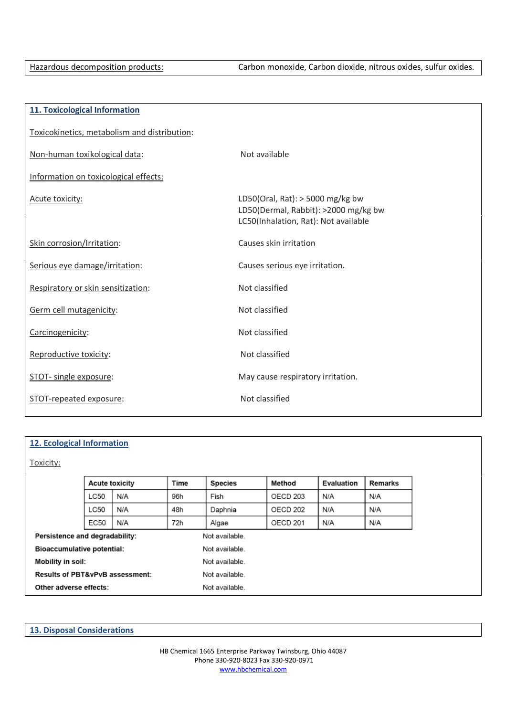| 11. Toxicological Information                |                                                                                                                    |
|----------------------------------------------|--------------------------------------------------------------------------------------------------------------------|
| Toxicokinetics, metabolism and distribution: |                                                                                                                    |
| Non-human toxikological data:                | Not available                                                                                                      |
| Information on toxicological effects:        |                                                                                                                    |
| Acute toxicity:                              | LD50(Oral, Rat): $>$ 5000 mg/kg bw<br>LD50(Dermal, Rabbit): >2000 mg/kg bw<br>LC50(Inhalation, Rat): Not available |
| Skin corrosion/Irritation:                   | Causes skin irritation                                                                                             |
| Serious eye damage/irritation:               | Causes serious eye irritation.                                                                                     |
| Respiratory or skin sensitization:           | Not classified                                                                                                     |
| Germ cell mutagenicity:                      | Not classified                                                                                                     |
| Carcinogenicity:                             | Not classified                                                                                                     |
| Reproductive toxicity:                       | Not classified                                                                                                     |
| STOT- single exposure:                       | May cause respiratory irritation.                                                                                  |
| STOT-repeated exposure:                      | Not classified                                                                                                     |

### **12. Ecological Information**

Toxicity:

|                                            | <b>Acute toxicity</b> |     | <b>Time</b> | <b>Species</b> | Method   | Evaluation | Remarks |
|--------------------------------------------|-----------------------|-----|-------------|----------------|----------|------------|---------|
|                                            | LC50                  | N/A | 96h         | Fish           | OECD 203 | N/A        | N/A     |
|                                            | LC50                  | N/A | 48h         | Daphnia        | OECD 202 | N/A        | N/A     |
|                                            | EC50                  | N/A | 72h         | Algae          | OECD 201 | N/A        | N/A     |
| Persistence and degradability:             |                       |     |             | Not available. |          |            |         |
| <b>Bioaccumulative potential:</b>          |                       |     |             | Not available. |          |            |         |
| Mobility in soil:                          |                       |     |             | Not available. |          |            |         |
| <b>Results of PBT&amp;vPvB assessment:</b> |                       |     |             | Not available. |          |            |         |
| Other adverse effects:                     |                       |     |             | Not available. |          |            |         |

| <b>13. Disposal Considerations</b> |  |  |
|------------------------------------|--|--|
|                                    |  |  |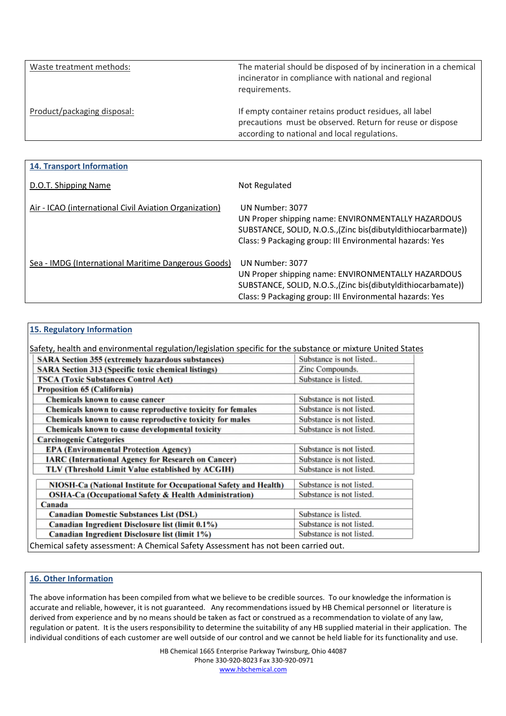| Waste treatment methods:    | The material should be disposed of by incineration in a chemical<br>incinerator in compliance with national and regional<br>requirements.                           |
|-----------------------------|---------------------------------------------------------------------------------------------------------------------------------------------------------------------|
| Product/packaging disposal: | If empty container retains product residues, all label<br>precautions must be observed. Return for reuse or dispose<br>according to national and local regulations. |

| <b>14. Transport Information</b>                       |                                                                                                                                                                                                     |
|--------------------------------------------------------|-----------------------------------------------------------------------------------------------------------------------------------------------------------------------------------------------------|
| D.O.T. Shipping Name                                   | Not Regulated                                                                                                                                                                                       |
| Air - ICAO (international Civil Aviation Organization) | UN Number: 3077<br>UN Proper shipping name: ENVIRONMENTALLY HAZARDOUS<br>SUBSTANCE, SOLID, N.O.S., (Zinc bis (dibutyldithiocarbarmate))<br>Class: 9 Packaging group: III Environmental hazards: Yes |
| Sea - IMDG (International Maritime Dangerous Goods)    | UN Number: 3077<br>UN Proper shipping name: ENVIRONMENTALLY HAZARDOUS<br>SUBSTANCE, SOLID, N.O.S., (Zinc bis (dibutyl dithiocarbamate))<br>Class: 9 Packaging group: III Environmental hazards: Yes |

| 15. Regulatory Information                                                                                  |                          |
|-------------------------------------------------------------------------------------------------------------|--------------------------|
| Safety, health and environmental regulation/legislation specific for the substance or mixture United States |                          |
| <b>SARA Section 355 (extremely hazardous substances)</b>                                                    | Substance is not listed  |
| <b>SARA Section 313 (Specific toxic chemical listings)</b>                                                  | Zinc Compounds.          |
| <b>TSCA (Toxic Substances Control Act)</b>                                                                  | Substance is listed.     |
| Proposition 65 (California)                                                                                 |                          |
| Chemicals known to cause cancer                                                                             | Substance is not listed. |
| Chemicals known to cause reproductive toxicity for females                                                  | Substance is not listed. |
| Chemicals known to cause reproductive toxicity for males                                                    | Substance is not listed. |
| Chemicals known to cause developmental toxicity                                                             | Substance is not listed. |
| <b>Carcinogenic Categories</b>                                                                              |                          |
| <b>EPA</b> (Environmental Protection Agency)                                                                | Substance is not listed. |
| <b>IARC</b> (International Agency for Research on Cancer)                                                   | Substance is not listed. |
| TLV (Threshold Limit Value established by ACGIH)                                                            | Substance is not listed. |
| NIOSH-Ca (National Institute for Occupational Safety and Health)                                            | Substance is not listed. |
| <b>OSHA-Ca (Occupational Safety &amp; Health Administration)</b>                                            | Substance is not listed. |
| Canada                                                                                                      |                          |
| <b>Canadian Domestic Substances List (DSL)</b>                                                              | Substance is listed.     |
| Canadian Ingredient Disclosure list (limit 0.1%)                                                            | Substance is not listed. |
| Canadian Ingredient Disclosure list (limit 1%)                                                              | Substance is not listed. |
| Chemical safety assessment: A Chemical Safety Assessment has not been carried out.                          |                          |

## 16. Other Information

The above information has been compiled from what we believe to be credible sources. To our knowledge the information is accurate and reliable, however, it is not guaranteed. Any recommendations issued by HB Chemical personnel or literature is derived from experience and by no means should be taken as fact or construed as a recommendation to violate of any law, regulation or patent. It is the users responsibility to determine the suitability of any HB supplied material in their application. The individual conditions of each customer are well outside of our control and we cannot be held liable for its functionality and use.